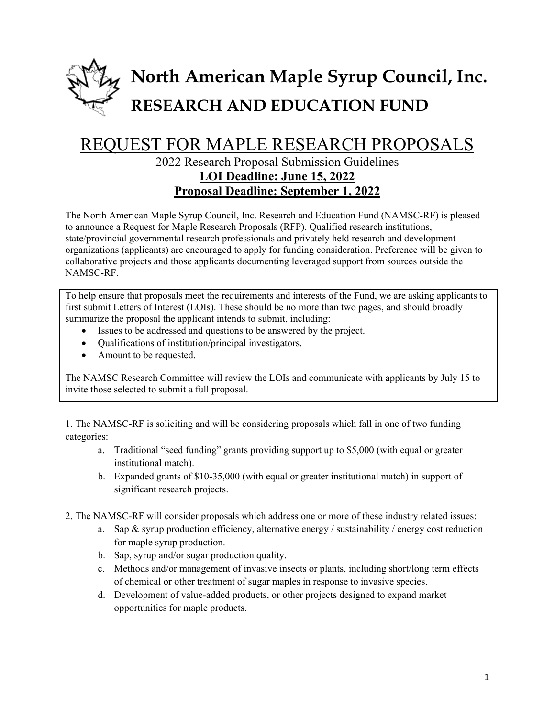

## REQUEST FOR MAPLE RESEARCH PROPOSALS

## 2022 Research Proposal Submission Guidelines **LOI Deadline: June 15, 2022 Proposal Deadline: September 1, 2022**

The North American Maple Syrup Council, Inc. Research and Education Fund (NAMSC-RF) is pleased to announce a Request for Maple Research Proposals (RFP). Qualified research institutions, state/provincial governmental research professionals and privately held research and development organizations (applicants) are encouraged to apply for funding consideration. Preference will be given to collaborative projects and those applicants documenting leveraged support from sources outside the NAMSC-RF.

To help ensure that proposals meet the requirements and interests of the Fund, we are asking applicants to first submit Letters of Interest (LOIs). These should be no more than two pages, and should broadly summarize the proposal the applicant intends to submit, including:

- Issues to be addressed and questions to be answered by the project.
- Qualifications of institution/principal investigators.
- Amount to be requested.

The NAMSC Research Committee will review the LOIs and communicate with applicants by July 15 to invite those selected to submit a full proposal.

1. The NAMSC-RF is soliciting and will be considering proposals which fall in one of two funding categories:

- a. Traditional "seed funding" grants providing support up to \$5,000 (with equal or greater institutional match).
- b. Expanded grants of \$10-35,000 (with equal or greater institutional match) in support of significant research projects.
- 2. The NAMSC-RF will consider proposals which address one or more of these industry related issues:
	- a. Sap  $\&$  syrup production efficiency, alternative energy / sustainability / energy cost reduction for maple syrup production.
	- b. Sap, syrup and/or sugar production quality.
	- c. Methods and/or management of invasive insects or plants, including short/long term effects of chemical or other treatment of sugar maples in response to invasive species.
	- d. Development of value-added products, or other projects designed to expand market opportunities for maple products.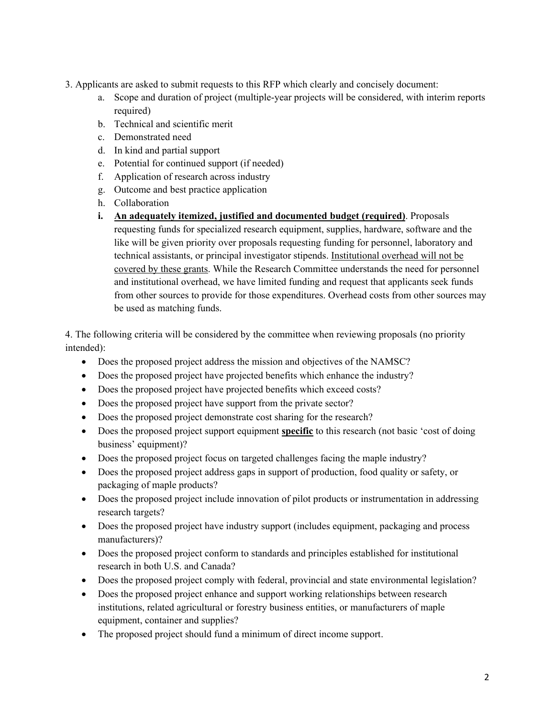- 3. Applicants are asked to submit requests to this RFP which clearly and concisely document:
	- a. Scope and duration of project (multiple-year projects will be considered, with interim reports required)
	- b. Technical and scientific merit
	- c. Demonstrated need
	- d. In kind and partial support
	- e. Potential for continued support (if needed)
	- f. Application of research across industry
	- g. Outcome and best practice application
	- h. Collaboration
	- **i. An adequately itemized, justified and documented budget (required)**. Proposals requesting funds for specialized research equipment, supplies, hardware, software and the like will be given priority over proposals requesting funding for personnel, laboratory and technical assistants, or principal investigator stipends. Institutional overhead will not be covered by these grants. While the Research Committee understands the need for personnel and institutional overhead, we have limited funding and request that applicants seek funds from other sources to provide for those expenditures. Overhead costs from other sources may be used as matching funds.

4. The following criteria will be considered by the committee when reviewing proposals (no priority intended):

- Does the proposed project address the mission and objectives of the NAMSC?
- Does the proposed project have projected benefits which enhance the industry?
- Does the proposed project have projected benefits which exceed costs?
- Does the proposed project have support from the private sector?
- Does the proposed project demonstrate cost sharing for the research?
- Does the proposed project support equipment **specific** to this research (not basic 'cost of doing business' equipment)?
- Does the proposed project focus on targeted challenges facing the maple industry?
- Does the proposed project address gaps in support of production, food quality or safety, or packaging of maple products?
- Does the proposed project include innovation of pilot products or instrumentation in addressing research targets?
- Does the proposed project have industry support (includes equipment, packaging and process manufacturers)?
- Does the proposed project conform to standards and principles established for institutional research in both U.S. and Canada?
- Does the proposed project comply with federal, provincial and state environmental legislation?
- Does the proposed project enhance and support working relationships between research institutions, related agricultural or forestry business entities, or manufacturers of maple equipment, container and supplies?
- The proposed project should fund a minimum of direct income support.